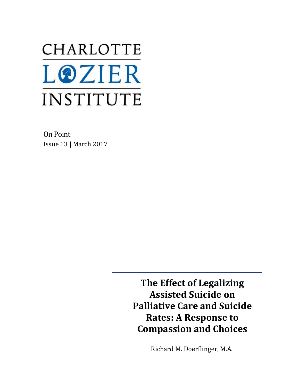# CHARLOTTE **LOZIER** INSTITUTE

On Point Issue 13 | March 2017

> **The Effect of Legalizing Assisted Suicide on Palliative Care and Suicide Rates: A Response to Compassion and Choices**

> > Richard M. Doerflinger, M.A.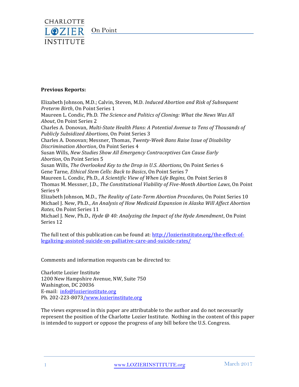

#### **Previous Reports:**

Elizabeth Johnson, M.D.; Calvin, Steven, M.D. *Induced Abortion and Risk of Subsequent Preterm Birth*, On Point Series 1

Maureen L. Condic, Ph.D. *The Science and Politics of Cloning: What the News Was All About*, On Point Series 2

Charles A. Donovan, *Multi-State Health Plans: A Potential Avenue to Tens of Thousands of Publicly Subsidized Abortions*, On Point Series 3

Charles A. Donovan; Messner, Thomas, *Twenty-Week Bans Raise Issue of Disability Discrimination Abortion*, On Point Series 4

Susan Wills, *New Studies Show All Emergency Contraceptives Can Cause Early Abortion*, On Point Series 5

Susan Wills, *The Overlooked Key to the Drop in U.S. Abortions*, On Point Series 6 Gene Tarne, *Ethical Stem Cells: Back to Basics*, On Point Series 7

Maureen L. Condic, Ph.D., *A Scientific View of When Life Begins,* On Point Series 8 Thomas M. Messner, J.D., *The Constitutional Viability of Five-Month Abortion Laws*, On Point Series 9

Elizabeth Johnson, M.D., *The Reality of Late-Term Abortion Procedures,* On Point Series 10 Michael J. New, Ph.D., *An Analysis of How Medicaid Expansion in Alaska Will Affect Abortion Rates*, On Point Series 11

Michael J. New, Ph.D., *Hyde @ 40: Analyzing the Impact of the Hyde Amendment*, On Point Series 12

The full text of this publication can be found at: [http://lozierinstitute.org/the-effect-of](http://lozierinstitute.org/the-effect-of-legalizing-assisted-suicide-on-palliative-care-and-suicide-rates/)[legalizing-assisted-suicide-on-palliative-care-and-suicide-rates/](http://lozierinstitute.org/the-effect-of-legalizing-assisted-suicide-on-palliative-care-and-suicide-rates/)

Comments and information requests can be directed to:

Charlotte Lozier Institute 1200 New Hampshire Avenue, NW, Suite 750 Washington, DC 20036 E-mail: [info@lozierinstitute.org](mailto:info@lozierinstitute.org) Ph. 202-223-807[3/www.lozierinstitute.org](http://www.lozierinstitute.org/)

The views expressed in this paper are attributable to the author and do not necessarily represent the position of the Charlotte Lozier Institute. Nothing in the content of this paper is intended to support or oppose the progress of any bill before the U.S. Congress.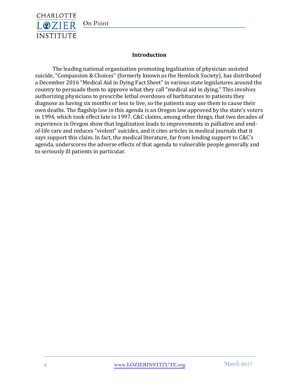

# On Point

# **Introduction**

The leading national organization promoting legalization of physician-assisted suicide, "Compassion & Choices" (formerly known as the Hemlock Society), has distributed a December 2016 "Medical Aid in Dying Fact Sheet" in various state legislatures around the country to persuade them to approve what they call "medical aid in dying." This involves authorizing physicians to prescribe lethal overdoses of barbiturates to patients they diagnose as having six months or less to live, so the patients may use them to cause their own deaths. The flagship law in this agenda is an Oregon law approved by the state's voters in 1994, which took effect late in 1997. C&C claims, among other things, that two decades of experience in Oregon show that legalization leads to improvements in palliative and endof-life care and reduces "violent" suicides, and it cites articles in medical journals that it says support this claim. In fact, the medical literature, far from lending support to C&C's agenda, underscores the adverse effects of that agenda to vulnerable people generally and to seriously ill patients in particular.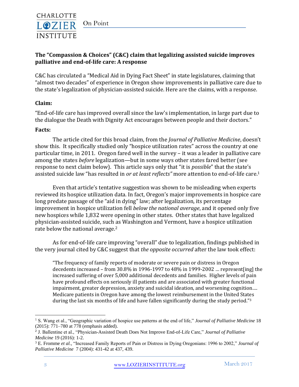

**palliative and end-of-life care: A response**

# **INSTITUTE The "Compassion & Choices" (C&C) claim that legalizing assisted suicide improves**

C&C has circulated a "Medical Aid in Dying Fact Sheet" in state legislatures, claiming that "almost two decades" of experience in Oregon show improvements in palliative care due to the state's legalization of physician-assisted suicide. Here are the claims, with a response.

#### **Claim:**

CHARLOTTE **LOZIER** 

"End-of-life care has improved overall since the law's implementation, in large part due to the dialogue the Death with Dignity Act encourages between people and their doctors."

#### **Facts:**

The article cited for this broad claim, from the *Journal of Palliative Medicine*, doesn't show this. It specifically studied only "hospice utilization rates" across the country at one particular time, in 2011. Oregon fared well in the survey – it was a leader in palliative care among the states *before* legalization—but in some ways other states fared better (see response to next claim below). This article says only that "it is *possible*" that the state's assisted suicide law "has resulted in *or at least reflects"* more attention to end-of-life care.<sup>1</sup>

Even that article's tentative suggestion was shown to be misleading when experts reviewed its hospice utilization data. In fact, Oregon's major improvements in hospice care long predate passage of the "aid in dying" law; after legalization, its percentage improvement in hospice utilization fell *below the national average*, and it opened only five new hospices while 1,832 were opening in other states. Other states that have legalized physician-assisted suicide, such as Washington and Vermont, have a hospice utilization rate below the national average.<sup>2</sup>

As for end-of-life care improving "overall" due to legalization, findings published in the very journal cited by C&C suggest that *the opposite occurred* after the law took effect:

"The frequency of family reports of moderate or severe pain or distress in Oregon decedents increased – from 30.8% in 1996-1997 to 48% in 1999-2002 … represent[ing] the increased suffering of over 5,000 additional decedents and families. Higher levels of pain have profound effects on seriously ill patients and are associated with greater functional impairment, greater depression, anxiety and suicidal ideation, and worsening cognition…. Medicare patients in Oregon have among the lowest reimbursement in the United States during the last six months of life and have fallen significantly during the study period."<sup>3</sup>

<sup>1</sup> S. Wang et al., "Geographic variation of hospice use patterns at the end of life," *Journal of Palliative Medicine* 18 (2015): 771–780 at 778 (emphasis added).

<sup>2</sup> J. Ballentine et al., "Physician-Assisted Death Does Not Improve End-of-Life Care," *Journal of Palliative Medicine* 19 (2016): 1-2.

<sup>3</sup> E. Fromme *et al.,* "Increased Family Reports of Pain or Distress in Dying Oregonians: 1996 to 2002," *Journal of Palliative Medicine* 7 (2004): 431-42 at 437, 439.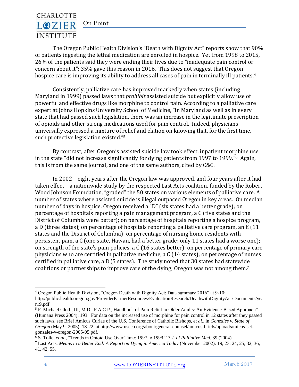On Point



The Oregon Public Health Division's "Death with Dignity Act" reports show that 90% of patients ingesting the lethal medication are enrolled in hospice. Yet from 1998 to 2015, 26% of the patients said they were ending their lives due to "inadequate pain control or concern about it"; 35% gave this reason in 2016. This does not suggest that Oregon hospice care is improving its ability to address all cases of pain in terminally ill patients.<sup>4</sup>

Consistently, palliative care has improved markedly when states (including Maryland in 1999) passed laws that *prohibit* assisted suicide but explicitly allow use of powerful and effective drugs like morphine to control pain. According to a palliative care expert at Johns Hopkins University School of Medicine, "in Maryland as well as in every state that had passed such legislation, there was an increase in the legitimate prescription of opioids and other strong medications used for pain control. Indeed, physicians universally expressed a mixture of relief and elation on knowing that, for the first time, such protective legislation existed."<sup>5</sup>

By contrast, after Oregon's assisted suicide law took effect, inpatient morphine use in the state "did not increase significantly for dying patients from 1997 to 1999."6 Again, this is from the same journal, and one of the same authors, cited by C&C.

In 2002 – eight years after the Oregon law was approved, and four years after it had taken effect – a nationwide study by the respected Last Acts coalition, funded by the Robert Wood Johnson Foundation, "graded" the 50 states on various elements of palliative care. A number of states where assisted suicide is illegal outpaced Oregon in key areas. On median number of days in hospice, Oregon received a "D" (six states had a better grade); on percentage of hospitals reporting a pain management program, a C (five states and the District of Columbia were better); on percentage of hospitals reporting a hospice program, a D (three states); on percentage of hospitals reporting a palliative care program, an E (11 states and the District of Columbia); on percentage of nursing home residents with persistent pain, a C (one state, Hawaii, had a better grade; only 11 states had a worse one); on strength of the state's pain policies, a C (16 states better); on percentage of primary care physicians who are certified in palliative medicine, a C (14 states); on percentage of nurses certified in palliative care, a B (5 states). The study noted that 30 states had statewide coalitions or partnerships to improve care of the dying; Oregon was not among them.<sup>7</sup>

<sup>4</sup> Oregon Public Health Division, "Oregon Death with Dignity Act: Data summary 2016" at 9-10;

[http://public.health.oregon.gov/ProviderPartnerResources/EvaluationResearch/DeathwithDignityAct/Documents/yea](http://public.health.oregon.gov/ProviderPartnerResources/EvaluationResearch/DeathwithDignityAct/Documents/year19.pdf) [r19.pdf.](http://public.health.oregon.gov/ProviderPartnerResources/EvaluationResearch/DeathwithDignityAct/Documents/year19.pdf)

<sup>5</sup> F. Michael Gloth, III, M.D., F.A.C.P., Handbook of Pain Relief in Older Adults: An Evidence-Based Approach" (Humana Press 2004): 193. For data on the increased use of morphine for pain control in 12 states after they passed such laws, see Brief Amicus Curiae of the U.S. Conference of Catholic Bishops, *et al*., in *Gonzales v. State of Oregon* (May 9, 2005): 18-22, at [http://www.usccb.org/about/general-counsel/amicus-briefs/upload/amicus-sct](http://www.usccb.org/about/general-counsel/amicus-briefs/upload/amicus-sct-gonzales-v-oregon-2005-05.pdf)[gonzales-v-oregon-2005-05.pdf.](http://www.usccb.org/about/general-counsel/amicus-briefs/upload/amicus-sct-gonzales-v-oregon-2005-05.pdf)

<sup>6</sup> S. Tolle, *et al.,* "Trends in Opioid Use Over Time: 1997 to 1999," 7 *J. of Palliative Med.* 39 (2004).

<sup>7</sup> Last Acts, *Means to a Better End: A Report on Dying in America Today* (November 2002): 19, 23, 24, 25, 32, 36, 41, 42, 55.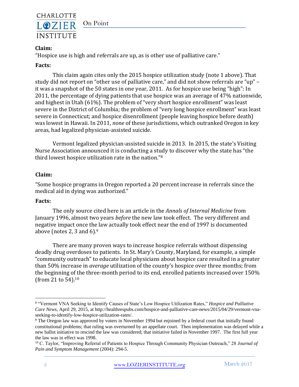

# **Claim:**

"Hospice use is high and referrals are up, as is other use of palliative care."

# **Facts:**

This claim again cites only the 2015 hospice utilization study (note 1 above). That study did not report on "other use of palliative care," and did not show referrals are "up" – it was a snapshot of the 50 states in one year, 2011. As for hospice use being "high": In 2011, the percentage of dying patients that use hospice was an average of 47% nationwide, and highest in Utah (61%). The problem of "very short hospice enrollment" was least severe in the District of Columbia; the problem of "very long hospice enrollment" was least severe in Connecticut; and hospice disenrollment (people leaving hospice before death) was lowest in Hawaii. In 2011, *none* of these jurisdictions, which outranked Oregon in key areas, had legalized physician-assisted suicide.

Vermont legalized physician-assisted suicide in 2013. In 2015, the state's Visiting Nurse Association announced it is conducting a study to discover why the state has "the third lowest hospice utilization rate in the nation."<sup>8</sup>

# **Claim:**

"Some hospice programs in Oregon reported a 20 percent increase in referrals since the medical aid in dying was authorized."

# **Facts:**

The only source cited here is an article in the *Annals of Internal Medicine* from January 1996, almost two years *before* the new law took effect. The very different and negative impact once the law actually took effect near the end of 1997 is documented above (notes 2, 3 and  $6$ ).<sup>9</sup>

There are many proven ways to increase hospice referrals without dispensing deadly drug overdoses to patients. In St. Mary's County, Maryland, for example, a simple "community outreach" to educate local physicians about hospice care resulted in a greater than 50% increase in *average* utilization of the county's hospice over three months; from the beginning of the three-month period to its end, enrolled patients increased over 150% (from 21 to 54).<sup>10</sup>

<sup>8</sup> "Vermont VNA Seeking to Identify Causes of State's Low Hospice Utilization Rates," *Hospice and Palliative Care News*, April 29, 2015, a[t http://healthrespubs.com/hospice-and-palliative-care-news/2015/04/29/vermont-vna](http://healthrespubs.com/hospice-and-palliative-care-news/2015/04/29/vermont-vna-seeking-to-identify-low-hospice-utilization-rates/)[seeking-to-identify-low-hospice-utilization-rates/.](http://healthrespubs.com/hospice-and-palliative-care-news/2015/04/29/vermont-vna-seeking-to-identify-low-hospice-utilization-rates/)

<sup>9</sup> The Oregon law was approved by voters in November 1994 but enjoined by a federal court that initially found constitutional problems; that ruling was overturned by an appellate court. Then implementation was delayed while a new ballot initiative to rescind the law was considered; that initiative failed in November 1997. The first full year the law was in effect was 1998.

<sup>10</sup> C. Taylor, "Improving Referral of Patients to Hospice Through Community Physician Outreach," 28 *Journal of Pain and Symptom Management* (2004): 294-5.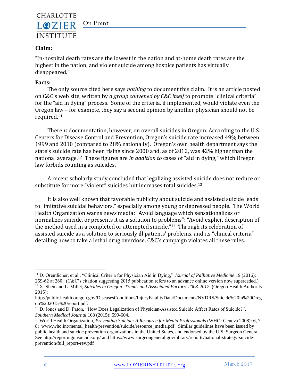

#### On Point

# **Claim:**

"In-hospital death rates are the lowest in the nation and at-home death rates are the highest in the nation, and violent suicide among hospice patients has virtually disappeared."

#### **Facts:**

The only source cited here says *nothing* to document this claim. It is an article posted on C&C's web site, written by *a group convened by C&C itself* to promote "clinical criteria" for the "aid in dying" process. Some of the criteria, if implemented, would violate even the Oregon law – for example, they say a second opinion by another physician should not be required.<sup>11</sup>

There *is* documentation, however, on overall suicides in Oregon. According to the U.S. Centers for Disease Control and Prevention, Oregon's suicide rate increased 49% between 1999 and 2010 (compared to 28% nationally). Oregon's own health department says the state's suicide rate has been rising since 2000 and, as of 2012, was 42% higher than the national average.12 These figures are *in addition to* cases of "aid in dying," which Oregon law forbids counting as suicides.

A recent scholarly study concluded that legalizing assisted suicide does not reduce or substitute for more "violent" suicides but increases total suicides.<sup>13</sup>

It is also well known that favorable publicity about suicide and assisted suicide leads to "imitative suicidal behaviors," especially among young or depressed people. The World Health Organization warns news media: "Avoid language which sensationalizes or normalizes suicide, or presents it as a solution to problems"; "Avoid explicit description of the method used in a completed or attempted suicide."14 Through its celebration of assisted suicide as a solution to seriously ill patients' problems, and its "clinical criteria" detailing how to take a lethal drug overdose, C&C's campaign violates all these rules.

<sup>11</sup> D. Orentlicher, et al., "Clinical Criteria for Physician Aid in Dying," *Journal of Palliative Medicine* 19 (2016): 259-62 at 260. (C&C's citation suggesting 2015 publication refers to an advance online version now superceded.)

<sup>&</sup>lt;sup>12</sup> X. Shen and L. Millet, *Suicides in Oregon: Trends and Associated Factors.* 2003-2012 (Oregon Health Authority 2015);

[http://public.health.oregon.gov/DiseasesConditions/InjuryFatalityData/Documents/NVDRS/Suicide%20in%20Oreg](http://public.health.oregon.gov/DiseasesConditions/InjuryFatalityData/Documents/NVDRS/Suicide%20in%20Oregon%202015%20report.pdf) [on%202015%20report.pdf.](http://public.health.oregon.gov/DiseasesConditions/InjuryFatalityData/Documents/NVDRS/Suicide%20in%20Oregon%202015%20report.pdf)

<sup>&</sup>lt;sup>13</sup> D. Jones and D. Paton, "How Does Legalization of Physician-Assisted Suicide Affect Rates of Suicide?", *Southern Medical Journal* 108 (2015): 599-604.

<sup>14</sup> World Health Organization, *Preventing Suicide: A Resource for Media Professionals* (WHO: Geneva 2008): 6, 7, 8; [www.who.int/mental\\_health/prevention/suicide/resource\\_media.pdf.](http://www.who.int/mental_health/prevention/suicide/resource_media.pdf) Similar guidelines have been issued by public health and suicide prevention organizations in the United States, and endorsed by the U.S. Surgeon General. See<http://reportingonsuicide.org/> and [https://www.surgeongeneral.gov/library/reports/national-strategy-suicide](https://www.surgeongeneral.gov/library/reports/national-strategy-suicide-prevention/full_report-rev.pdf)[prevention/full\\_report-rev.pdf](https://www.surgeongeneral.gov/library/reports/national-strategy-suicide-prevention/full_report-rev.pdf)